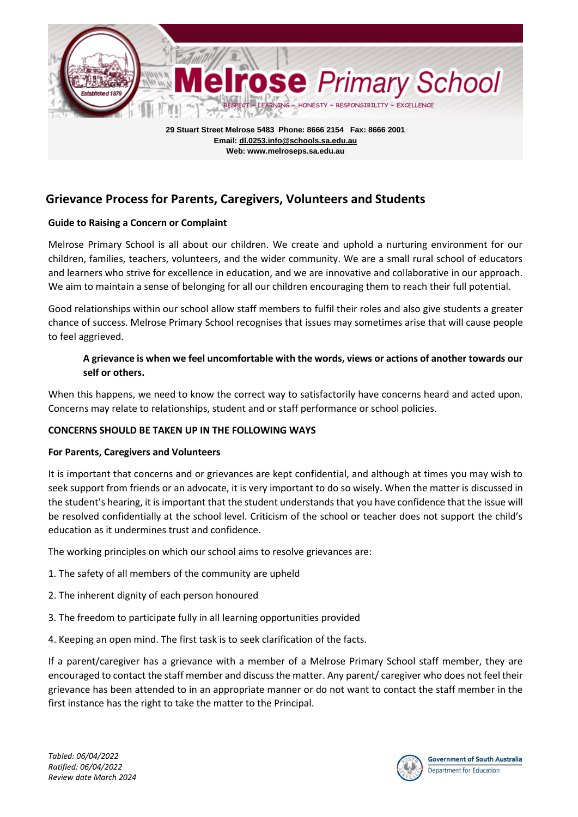

**Email: dl.0253.info@schools.sa.edu.au Web: www.melroseps.sa.edu.au**

# **Grievance Process for Parents, Caregivers, Volunteers and Students**

#### **Guide to Raising a Concern or Complaint**

Melrose Primary School is all about our children. We create and uphold a nurturing environment for our children, families, teachers, volunteers, and the wider community. We are a small rural school of educators and learners who strive for excellence in education, and we are innovative and collaborative in our approach. We aim to maintain a sense of belonging for all our children encouraging them to reach their full potential.

Good relationships within our school allow staff members to fulfil their roles and also give students a greater chance of success. Melrose Primary School recognises that issues may sometimes arise that will cause people to feel aggrieved.

#### **A grievance is when we feel uncomfortable with the words, views or actions of another towards our self or others.**

When this happens, we need to know the correct way to satisfactorily have concerns heard and acted upon. Concerns may relate to relationships, student and or staff performance or school policies.

#### **CONCERNS SHOULD BE TAKEN UP IN THE FOLLOWING WAYS**

#### **For Parents, Caregivers and Volunteers**

It is important that concerns and or grievances are kept confidential, and although at times you may wish to seek support from friends or an advocate, it is very important to do so wisely. When the matter is discussed in the student's hearing, it is important that the student understands that you have confidence that the issue will be resolved confidentially at the school level. Criticism of the school or teacher does not support the child's education as it undermines trust and confidence.

The working principles on which our school aims to resolve grievances are:

- 1. The safety of all members of the community are upheld
- 2. The inherent dignity of each person honoured
- 3. The freedom to participate fully in all learning opportunities provided
- 4. Keeping an open mind. The first task is to seek clarification of the facts.

If a parent/caregiver has a grievance with a member of a Melrose Primary School staff member, they are encouraged to contact the staff member and discuss the matter. Any parent/ caregiver who does not feel their grievance has been attended to in an appropriate manner or do not want to contact the staff member in the first instance has the right to take the matter to the Principal.